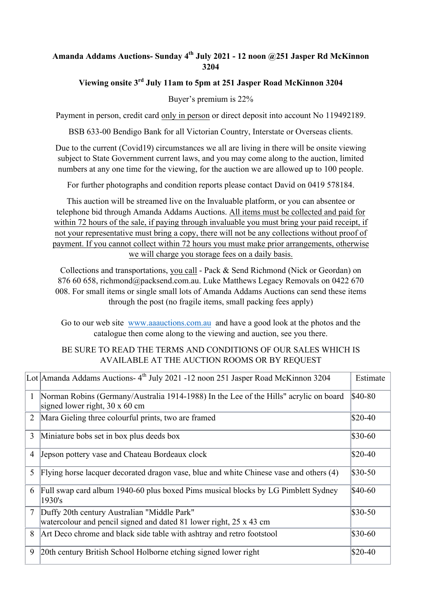### **Amanda Addams Auctions- Sunday 4th July 2021 - 12 noon @251 Jasper Rd McKinnon 3204**

# **Viewing onsite 3rd July 11am to 5pm at 251 Jasper Road McKinnon 3204**

Buyer's premium is 22%

Payment in person, credit card only in person or direct deposit into account No 119492189.

BSB 633-00 Bendigo Bank for all Victorian Country, Interstate or Overseas clients.

Due to the current (Covid19) circumstances we all are living in there will be onsite viewing subject to State Government current laws, and you may come along to the auction, limited numbers at any one time for the viewing, for the auction we are allowed up to 100 people.

For further photographs and condition reports please contact David on 0419 578184.

This auction will be streamed live on the Invaluable platform, or you can absentee or telephone bid through Amanda Addams Auctions. All items must be collected and paid for within 72 hours of the sale, if paying through invaluable you must bring your paid receipt, if not your representative must bring a copy, there will not be any collections without proof of payment. If you cannot collect within 72 hours you must make prior arrangements, otherwise we will charge you storage fees on a daily basis.

Collections and transportations, you call - Pack & Send Richmond (Nick or Geordan) on 876 60 658, richmond@packsend.com.au. Luke Matthews Legacy Removals on 0422 670 008. For small items or single small lots of Amanda Addams Auctions can send these items through the post (no fragile items, small packing fees apply)

Go to our web site www.aaauctions.com.au and have a good look at the photos and the catalogue then come along to the viewing and auction, see you there.

#### BE SURE TO READ THE TERMS AND CONDITIONS OF OUR SALES WHICH IS AVAILABLE AT THE AUCTION ROOMS OR BY REQUEST

|                | Lot Amanda Addams Auctions-4 <sup>th</sup> July 2021 -12 noon 251 Jasper Road McKinnon 3204                                    | Estimate |
|----------------|--------------------------------------------------------------------------------------------------------------------------------|----------|
| $\mathbf{1}$   | Norman Robins (Germany/Australia 1914-1988) In the Lee of the Hills" acrylic on board<br>signed lower right, $30 \times 60$ cm | \$40-80  |
| 2              | Mara Gieling three colourful prints, two are framed                                                                            | $$20-40$ |
| 3              | Miniature bobs set in box plus deeds box                                                                                       | $$30-60$ |
| $\overline{4}$ | Jepson pottery vase and Chateau Bordeaux clock                                                                                 | $$20-40$ |
| 5              | Flying horse lacquer decorated dragon vase, blue and white Chinese vase and others (4)                                         | $$30-50$ |
| 6              | Full swap card album 1940-60 plus boxed Pims musical blocks by LG Pimblett Sydney<br>1930's                                    | \$40-60  |
| $\overline{7}$ | Duffy 20th century Australian "Middle Park"<br>watercolour and pencil signed and dated 81 lower right, 25 x 43 cm              | \$30-50  |
| 8              | Art Deco chrome and black side table with ashtray and retro footstool                                                          | \$30-60  |
| 9              | 20th century British School Holborne etching signed lower right                                                                | $$20-40$ |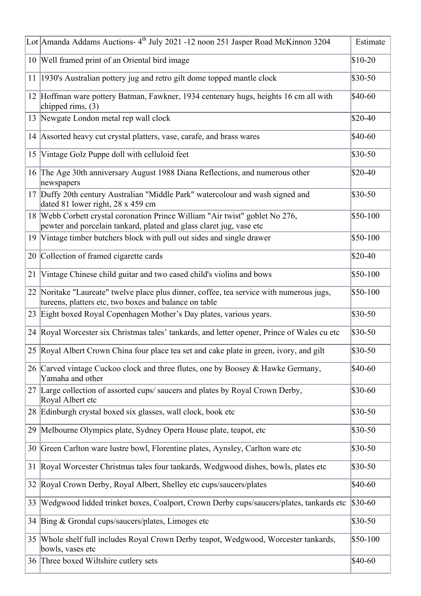|    | Lot Amanda Addams Auctions- 4 <sup>th</sup> July 2021 -12 noon 251 Jasper Road McKinnon 3204                                                        | Estimate |
|----|-----------------------------------------------------------------------------------------------------------------------------------------------------|----------|
|    | 10 Well framed print of an Oriental bird image                                                                                                      | $$10-20$ |
| 11 | 1930's Australian pottery jug and retro gilt dome topped mantle clock                                                                               | \$30-50  |
|    | 12 Hoffman ware pottery Batman, Fawkner, 1934 centenary hugs, heights 16 cm all with<br>chipped rims, $(3)$                                         | \$40-60  |
|    | 13 Newgate London metal rep wall clock                                                                                                              | $$20-40$ |
|    | 14 Assorted heavy cut crystal platters, vase, carafe, and brass wares                                                                               | \$40-60  |
| 15 | Vintage Golz Puppe doll with celluloid feet                                                                                                         | \$30-50  |
|    | 16 The Age 30th anniversary August 1988 Diana Reflections, and numerous other<br>newspapers                                                         | $$20-40$ |
|    | 17 Duffy 20th century Australian "Middle Park" watercolour and wash signed and<br>dated 81 lower right, 28 x 459 cm                                 | \$30-50  |
|    | 18 Webb Corbett crystal coronation Prince William "Air twist" goblet No 276,<br>pewter and porcelain tankard, plated and glass claret jug, vase etc | \$50-100 |
|    | 19 Vintage timber butchers block with pull out sides and single drawer                                                                              | \$50-100 |
|    | 20 Collection of framed cigarette cards                                                                                                             | $$20-40$ |
| 21 | Vintage Chinese child guitar and two cased child's violins and bows                                                                                 | \$50-100 |
|    | 22 Noritake "Laureate" twelve place plus dinner, coffee, tea service with numerous jugs,<br>tureens, platters etc, two boxes and balance on table   | \$50-100 |
|    | 23 Eight boxed Royal Copenhagen Mother's Day plates, various years.                                                                                 | \$30-50  |
|    | 24 Royal Worcester six Christmas tales' tankards, and letter opener, Prince of Wales cu etc                                                         | \$30-50  |
|    | 25 Royal Albert Crown China four place tea set and cake plate in green, ivory, and gilt                                                             | \$30-50  |
|    | 26 Carved vintage Cuckoo clock and three flutes, one by Boosey & Hawke Germany,<br>Yamaha and other                                                 | \$40-60  |
|    | 27 Large collection of assorted cups/saucers and plates by Royal Crown Derby,<br>Royal Albert etc                                                   | \$30-60  |
|    | 28 Edinburgh crystal boxed six glasses, wall clock, book etc                                                                                        | \$30-50  |
| 29 | Melbourne Olympics plate, Sydney Opera House plate, teapot, etc                                                                                     | \$30-50  |
| 30 | Green Carlton ware lustre bowl, Florentine plates, Aynsley, Carlton ware etc                                                                        | \$30-50  |
| 31 | Royal Worcester Christmas tales four tankards, Wedgwood dishes, bowls, plates etc                                                                   | \$30-50  |
| 32 | Royal Crown Derby, Royal Albert, Shelley etc cups/saucers/plates                                                                                    | \$40-60  |
| 33 | Wedgwood lidded trinket boxes, Coalport, Crown Derby cups/saucers/plates, tankards etc                                                              | $$30-60$ |
|    | 34 Bing & Grondal cups/saucers/plates, Limoges etc                                                                                                  | \$30-50  |
| 35 | Whole shelf full includes Royal Crown Derby teapot, Wedgwood, Worcester tankards,<br>bowls, vases etc                                               | \$50-100 |
|    | 36 Three boxed Wiltshire cutlery sets                                                                                                               | $$40-60$ |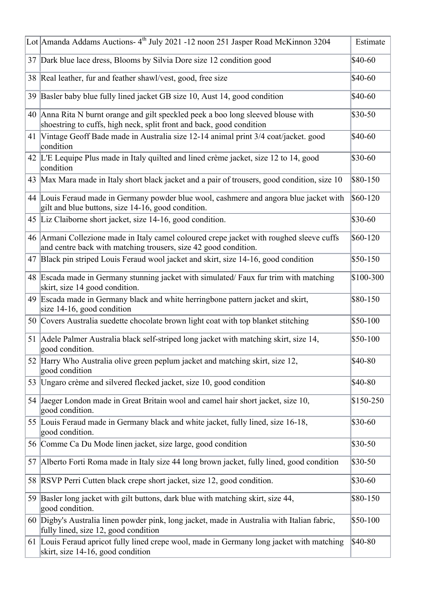|    | Lot Amanda Addams Auctions-4 <sup>th</sup> July 2021 -12 noon 251 Jasper Road McKinnon 3204                                                                 | Estimate  |
|----|-------------------------------------------------------------------------------------------------------------------------------------------------------------|-----------|
|    | 37 Dark blue lace dress, Blooms by Silvia Dore size 12 condition good                                                                                       | \$40-60   |
| 38 | Real leather, fur and feather shawl/vest, good, free size                                                                                                   | \$40-60   |
| 39 | Basler baby blue fully lined jacket GB size 10, Aust 14, good condition                                                                                     | \$40-60   |
|    | 40 Anna Rita N burnt orange and gilt speckled peek a boo long sleeved blouse with<br>shoestring to cuffs, high neck, split front and back, good condition   | \$30-50   |
|    | 41 Vintage Geoff Bade made in Australia size 12-14 animal print 3/4 coat/jacket. good<br>condition                                                          | \$40-60   |
|    | 42 L'E Lequipe Plus made in Italy quilted and lined crème jacket, size 12 to 14, good<br>condition                                                          | $$30-60$  |
|    | 43 Max Mara made in Italy short black jacket and a pair of trousers, good condition, size 10                                                                | \$80-150  |
|    | 44 Louis Feraud made in Germany powder blue wool, cashmere and angora blue jacket with<br>gilt and blue buttons, size 14-16, good condition.                | $$60-120$ |
|    | 45 Liz Claiborne short jacket, size 14-16, good condition.                                                                                                  | $$30-60$  |
|    | 46 Armani Collezione made in Italy camel coloured crepe jacket with roughed sleeve cuffs<br>and centre back with matching trousers, size 42 good condition. | \$60-120  |
| 47 | Black pin striped Louis Feraud wool jacket and skirt, size 14-16, good condition                                                                            | \$50-150  |
| 48 | Escada made in Germany stunning jacket with simulated/Faux fur trim with matching<br>skirt, size 14 good condition.                                         | \$100-300 |
|    | 49 Escada made in Germany black and white herringbone pattern jacket and skirt,<br>size 14-16, good condition                                               | \$80-150  |
|    | 50 Covers Australia suedette chocolate brown light coat with top blanket stitching                                                                          | \$50-100  |
|    | 51 Adele Palmer Australia black self-striped long jacket with matching skirt, size 14,<br>good condition.                                                   | \$50-100  |
|    | 52 Harry Who Australia olive green peplum jacket and matching skirt, size 12,<br>good condition                                                             | \$40-80   |
| 53 | Ungaro crème and silvered flecked jacket, size 10, good condition                                                                                           | \$40-80   |
| 54 | Jaeger London made in Great Britain wool and camel hair short jacket, size 10,<br>good condition.                                                           | \$150-250 |
|    | 55 Louis Feraud made in Germany black and white jacket, fully lined, size 16-18,<br>good condition.                                                         | $$30-60$  |
|    | 56 Comme Ca Du Mode linen jacket, size large, good condition                                                                                                | $$30-50$  |
| 57 | Alberto Forti Roma made in Italy size 44 long brown jacket, fully lined, good condition                                                                     | $$30-50$  |
| 58 | RSVP Perri Cutten black crepe short jacket, size 12, good condition.                                                                                        | $$30-60$  |
| 59 | Basler long jacket with gilt buttons, dark blue with matching skirt, size 44,<br>good condition.                                                            | \$80-150  |
|    | 60 Digby's Australia linen powder pink, long jacket, made in Australia with Italian fabric,<br>fully lined, size 12, good condition                         | \$50-100  |
|    | 61 Louis Feraud apricot fully lined crepe wool, made in Germany long jacket with matching<br>skirt, size 14-16, good condition                              | \$40-80   |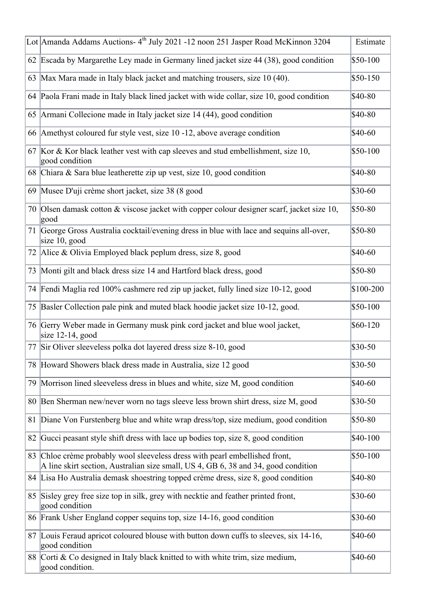|    | Lot Amanda Addams Auctions-4 <sup>th</sup> July 2021 -12 noon 251 Jasper Road McKinnon 3204                                                                    | Estimate  |
|----|----------------------------------------------------------------------------------------------------------------------------------------------------------------|-----------|
|    | 62 Escada by Margarethe Ley made in Germany lined jacket size 44 (38), good condition                                                                          | \$50-100  |
|    | 63 Max Mara made in Italy black jacket and matching trousers, size 10 (40).                                                                                    | \$50-150  |
|    | 64 Paola Frani made in Italy black lined jacket with wide collar, size 10, good condition                                                                      | \$40-80   |
| 65 | Armani Collecione made in Italy jacket size 14 (44), good condition                                                                                            | \$40-80   |
| 66 | Amethyst coloured fur style vest, size 10 -12, above average condition                                                                                         | \$40-60   |
|    | 67 Kor & Kor black leather vest with cap sleeves and stud embellishment, size 10,<br>good condition                                                            | \$50-100  |
|    | 68 Chiara & Sara blue leatherette zip up vest, size 10, good condition                                                                                         | \$40-80   |
|    | 69 Musee D'uji crème short jacket, size 38 (8 good                                                                                                             | \$30-60   |
| 70 | Olsen damask cotton & viscose jacket with copper colour designer scarf, jacket size 10,<br>good                                                                | \$50-80   |
|    | 71 George Gross Australia cocktail/evening dress in blue with lace and sequins all-over,<br>size $10$ , good                                                   | \$50-80   |
|    | 72 Alice & Olivia Employed black peplum dress, size 8, good                                                                                                    | \$40-60   |
|    | 73 Monti gilt and black dress size 14 and Hartford black dress, good                                                                                           | \$50-80   |
|    | 74 Fendi Maglia red 100% cashmere red zip up jacket, fully lined size 10-12, good                                                                              | \$100-200 |
| 75 | Basler Collection pale pink and muted black hoodie jacket size 10-12, good.                                                                                    | \$50-100  |
|    | 76 Gerry Weber made in Germany musk pink cord jacket and blue wool jacket,<br>size $12-14$ , good                                                              | \$60-120  |
|    | 77 Sir Oliver sleeveless polka dot layered dress size 8-10, good                                                                                               | \$30-50   |
|    | 78 Howard Showers black dress made in Australia, size 12 good                                                                                                  | \$30-50   |
| 79 | Morrison lined sleeveless dress in blues and white, size M, good condition                                                                                     | \$40-60   |
| 80 | Ben Sherman new/never worn no tags sleeve less brown shirt dress, size M, good                                                                                 | \$30-50   |
| 81 | Diane Von Furstenberg blue and white wrap dress/top, size medium, good condition                                                                               | \$50-80   |
| 82 | Gucci peasant style shift dress with lace up bodies top, size 8, good condition                                                                                | \$40-100  |
| 83 | Chloe crème probably wool sleeveless dress with pearl embellished front,<br>A line skirt section, Australian size small, US 4, GB 6, 38 and 34, good condition | \$50-100  |
|    | 84 Lisa Ho Australia demask shoestring topped crème dress, size 8, good condition                                                                              | \$40-80   |
| 85 | Sisley grey free size top in silk, grey with necktie and feather printed front,<br>good condition                                                              | \$30-60   |
|    | 86 Frank Usher England copper sequins top, size 14-16, good condition                                                                                          | \$30-60   |
| 87 | Louis Feraud apricot coloured blouse with button down cuffs to sleeves, six 14-16,<br>good condition                                                           | \$40-60   |
|    | 88 Corti & Co designed in Italy black knitted to with white trim, size medium,<br>good condition.                                                              | \$40-60   |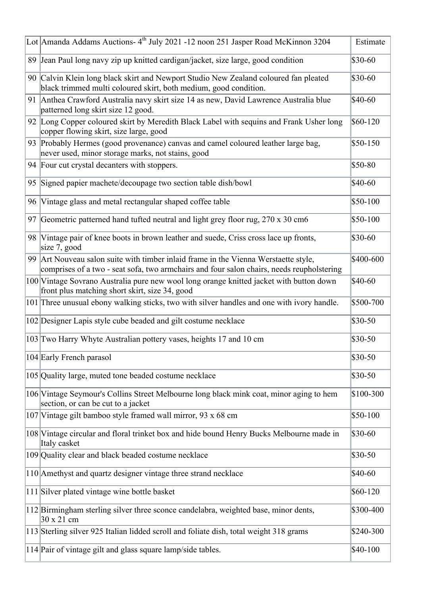|    | Lot Amanda Addams Auctions- 4 <sup>th</sup> July 2021 -12 noon 251 Jasper Road McKinnon 3204                                                                                  | Estimate  |
|----|-------------------------------------------------------------------------------------------------------------------------------------------------------------------------------|-----------|
|    | 89 Jean Paul long navy zip up knitted cardigan/jacket, size large, good condition                                                                                             | \$30-60   |
|    | 90 Calvin Klein long black skirt and Newport Studio New Zealand coloured fan pleated<br>black trimmed multi coloured skirt, both medium, good condition.                      | $$30-60$  |
|    | 91 Anthea Crawford Australia navy skirt size 14 as new, David Lawrence Australia blue<br>patterned long skirt size 12 good.                                                   | \$40-60   |
|    | 92 Long Copper coloured skirt by Meredith Black Label with sequins and Frank Usher long<br>copper flowing skirt, size large, good                                             | $$60-120$ |
|    | 93 Probably Hermes (good provenance) canvas and camel coloured leather large bag,<br>never used, minor storage marks, not stains, good                                        | $$50-150$ |
|    | 94 Four cut crystal decanters with stoppers.                                                                                                                                  | \$50-80   |
| 95 | Signed papier machete/decoupage two section table dish/bowl                                                                                                                   | \$40-60   |
| 96 | Vintage glass and metal rectangular shaped coffee table                                                                                                                       | $$50-100$ |
| 97 | Geometric patterned hand tufted neutral and light grey floor rug, 270 x 30 cm6                                                                                                | \$50-100  |
|    | 98 Vintage pair of knee boots in brown leather and suede, Criss cross lace up fronts,<br>size $7$ , good                                                                      | \$30-60   |
| 99 | Art Nouveau salon suite with timber inlaid frame in the Vienna Werstaette style,<br>comprises of a two - seat sofa, two armchairs and four salon chairs, needs reupholstering | \$400-600 |
|    | 100 Vintage Sovrano Australia pure new wool long orange knitted jacket with button down<br>front plus matching short skirt, size 34, good                                     | \$40-60   |
|    | 101 Three unusual ebony walking sticks, two with silver handles and one with ivory handle.                                                                                    | \$500-700 |
|    | 102 Designer Lapis style cube beaded and gilt costume necklace                                                                                                                | $$30-50$  |
|    | 103 Two Harry Whyte Australian pottery vases, heights 17 and 10 cm                                                                                                            | $$30-50$  |
|    | 104 Early French parasol                                                                                                                                                      | \$30-50   |
|    | 105 Quality large, muted tone beaded costume necklace                                                                                                                         | $$30-50$  |
|    | 106 Vintage Seymour's Collins Street Melbourne long black mink coat, minor aging to hem<br>section, or can be cut to a jacket                                                 | \$100-300 |
|    | 107 Vintage gilt bamboo style framed wall mirror, 93 x 68 cm                                                                                                                  | $$50-100$ |
|    | 108 Vintage circular and floral trinket box and hide bound Henry Bucks Melbourne made in<br>Italy casket                                                                      | $$30-60$  |
|    | 109 Quality clear and black beaded costume necklace                                                                                                                           | $$30-50$  |
|    | 110 Amethyst and quartz designer vintage three strand necklace                                                                                                                | \$40-60   |
|    | 111 Silver plated vintage wine bottle basket                                                                                                                                  | $$60-120$ |
|    | 112 Birmingham sterling silver three sconce candelabra, weighted base, minor dents,<br>30 x 21 cm                                                                             | \$300-400 |
|    | 113 Sterling silver 925 Italian lidded scroll and foliate dish, total weight 318 grams                                                                                        | \$240-300 |
|    | 114 Pair of vintage gilt and glass square lamp/side tables.                                                                                                                   | \$40-100  |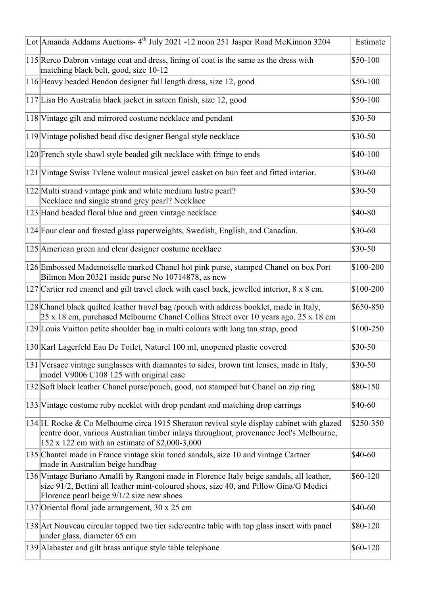| Lot Amanda Addams Auctions- 4 <sup>th</sup> July 2021 -12 noon 251 Jasper Road McKinnon 3204                                                                                                                                          | Estimate  |
|---------------------------------------------------------------------------------------------------------------------------------------------------------------------------------------------------------------------------------------|-----------|
| 115 Rerco Dabron vintage coat and dress, lining of coat is the same as the dress with<br>matching black belt, good, size 10-12                                                                                                        | \$50-100  |
| 116 Heavy beaded Bendon designer full length dress, size 12, good                                                                                                                                                                     | \$50-100  |
| 117 Lisa Ho Australia black jacket in sateen finish, size 12, good                                                                                                                                                                    | \$50-100  |
| 118 Vintage gilt and mirrored costume necklace and pendant                                                                                                                                                                            | $$30-50$  |
| 119 Vintage polished bead disc designer Bengal style necklace                                                                                                                                                                         | $$30-50$  |
| 120 French style shawl style beaded gilt necklace with fringe to ends                                                                                                                                                                 | \$40-100  |
| 121 Vintage Swiss Tvlene walnut musical jewel casket on bun feet and fitted interior.                                                                                                                                                 | $$30-60$  |
| 122 Multi strand vintage pink and white medium lustre pearl?<br>Necklace and single strand grey pearl? Necklace                                                                                                                       | $$30-50$  |
| 123 Hand beaded floral blue and green vintage necklace                                                                                                                                                                                | \$40-80   |
| 124 Four clear and frosted glass paperweights, Swedish, English, and Canadian.                                                                                                                                                        | $$30-60$  |
| 125 American green and clear designer costume necklace                                                                                                                                                                                | $$30-50$  |
| 126 Embossed Mademoiselle marked Chanel hot pink purse, stamped Chanel on box Port<br>Bilmon Mon 20321 inside purse No 10714878, as new                                                                                               | \$100-200 |
| 127 Cartier red enamel and gilt travel clock with easel back, jewelled interior, 8 x 8 cm.                                                                                                                                            | \$100-200 |
| 128 Chanel black quilted leather travel bag /pouch with address booklet, made in Italy,<br>25 x 18 cm, purchased Melbourne Chanel Collins Street over 10 years ago. 25 x 18 cm                                                        | \$650-850 |
| 129 Louis Vuitton petite shoulder bag in multi colours with long tan strap, good                                                                                                                                                      | \$100-250 |
| 130 Karl Lagerfeld Eau De Toilet, Naturel 100 ml, unopened plastic covered                                                                                                                                                            | $$30-50$  |
| 131 Versace vintage sunglasses with diamantes to sides, brown tint lenses, made in Italy,<br>model V9006 C108 125 with original case                                                                                                  | $$30-50$  |
| 132 Soft black leather Chanel purse/pouch, good, not stamped but Chanel on zip ring                                                                                                                                                   | \$80-150  |
| 133 Vintage costume ruby necklet with drop pendant and matching drop earrings                                                                                                                                                         | \$40-60   |
| 134 H. Rocke & Co Melbourne circa 1915 Sheraton revival style display cabinet with glazed<br>centre door, various Australian timber inlays throughout, provenance Joel's Melbourne,<br>152 x 122 cm with an estimate of \$2,000-3,000 | \$250-350 |
| 135 Chantel made in France vintage skin toned sandals, size 10 and vintage Cartner<br>made in Australian beige handbag                                                                                                                | \$40-60   |
| 136 Vintage Buriano Amalfi by Rangoni made in Florence Italy beige sandals, all leather,<br>size 91/2, Bettini all leather mint-coloured shoes, size 40, and Pillow Gina/G Medici<br>Florence pearl beige 9/1/2 size new shoes        | \$60-120  |
| 137 Oriental floral jade arrangement, 30 x 25 cm                                                                                                                                                                                      | $$40-60$  |
| 138 Art Nouveau circular topped two tier side/centre table with top glass insert with panel<br>under glass, diameter 65 cm                                                                                                            | \$80-120  |
| 139 Alabaster and gilt brass antique style table telephone                                                                                                                                                                            | \$60-120  |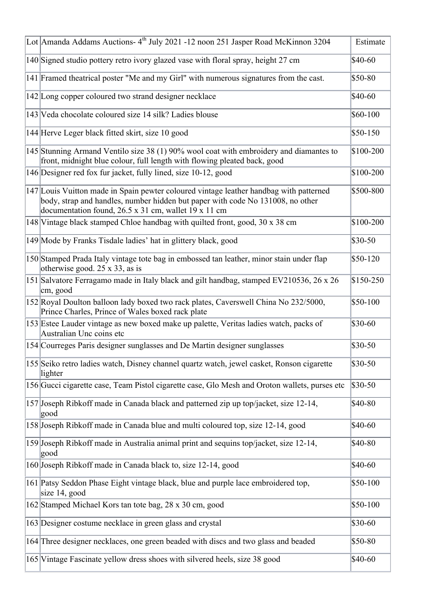| Lot Amanda Addams Auctions-4 <sup>th</sup> July 2021 -12 noon 251 Jasper Road McKinnon 3204                                                                                                                                      | Estimate  |
|----------------------------------------------------------------------------------------------------------------------------------------------------------------------------------------------------------------------------------|-----------|
| 140 Signed studio pottery retro ivory glazed vase with floral spray, height 27 cm                                                                                                                                                | \$40-60   |
| 141 Framed theatrical poster "Me and my Girl" with numerous signatures from the cast.                                                                                                                                            | \$50-80   |
| 142 Long copper coloured two strand designer necklace                                                                                                                                                                            | \$40-60   |
| 143 Veda chocolate coloured size 14 silk? Ladies blouse                                                                                                                                                                          | \$60-100  |
| 144 Herve Leger black fitted skirt, size 10 good                                                                                                                                                                                 | \$50-150  |
| 145 Stunning Armand Ventilo size 38 (1) 90% wool coat with embroidery and diamantes to<br>front, midnight blue colour, full length with flowing pleated back, good                                                               | \$100-200 |
| 146 Designer red fox fur jacket, fully lined, size 10-12, good                                                                                                                                                                   | \$100-200 |
| 147 Louis Vuitton made in Spain pewter coloured vintage leather handbag with patterned<br>body, strap and handles, number hidden but paper with code No 131008, no other<br>documentation found, 26.5 x 31 cm, wallet 19 x 11 cm | \$500-800 |
| 148 Vintage black stamped Chloe handbag with quilted front, good, 30 x 38 cm                                                                                                                                                     | \$100-200 |
| 149 Mode by Franks Tisdale ladies' hat in glittery black, good                                                                                                                                                                   | \$30-50   |
| 150 Stamped Prada Italy vintage tote bag in embossed tan leather, minor stain under flap<br>otherwise good. 25 x 33, as is                                                                                                       | \$50-120  |
| 151 Salvatore Ferragamo made in Italy black and gilt handbag, stamped EV210536, 26 x 26<br>cm, good                                                                                                                              | \$150-250 |
| 152 Royal Doulton balloon lady boxed two rack plates, Caverswell China No 232/5000,<br>Prince Charles, Prince of Wales boxed rack plate                                                                                          | \$50-100  |
| 153 Estee Lauder vintage as new boxed make up palette, Veritas ladies watch, packs of<br>Australian Unc coins etc                                                                                                                | \$30-60   |
| 154 Courreges Paris designer sunglasses and De Martin designer sunglasses                                                                                                                                                        | \$30-50   |
| 155 Seiko retro ladies watch, Disney channel quartz watch, jewel casket, Ronson cigarette<br>lighter                                                                                                                             | \$30-50   |
| 156 Gucci cigarette case, Team Pistol cigarette case, Glo Mesh and Oroton wallets, purses etc                                                                                                                                    | \$30-50   |
| 157 Joseph Ribkoff made in Canada black and patterned zip up top/jacket, size 12-14,<br> good                                                                                                                                    | \$40-80   |
| 158 Joseph Ribkoff made in Canada blue and multi coloured top, size 12-14, good                                                                                                                                                  | $$40-60$  |
| 159 Joseph Ribkoff made in Australia animal print and sequins top/jacket, size 12-14,<br>good                                                                                                                                    | \$40-80   |
| 160 Joseph Ribkoff made in Canada black to, size 12-14, good                                                                                                                                                                     | \$40-60   |
| 161 Patsy Seddon Phase Eight vintage black, blue and purple lace embroidered top,<br>size 14, good                                                                                                                               | \$50-100  |
| 162 Stamped Michael Kors tan tote bag, 28 x 30 cm, good                                                                                                                                                                          | \$50-100  |
| 163 Designer costume necklace in green glass and crystal                                                                                                                                                                         | \$30-60   |
| 164 Three designer necklaces, one green beaded with discs and two glass and beaded                                                                                                                                               | \$50-80   |
| 165 Vintage Fascinate yellow dress shoes with silvered heels, size 38 good                                                                                                                                                       | \$40-60   |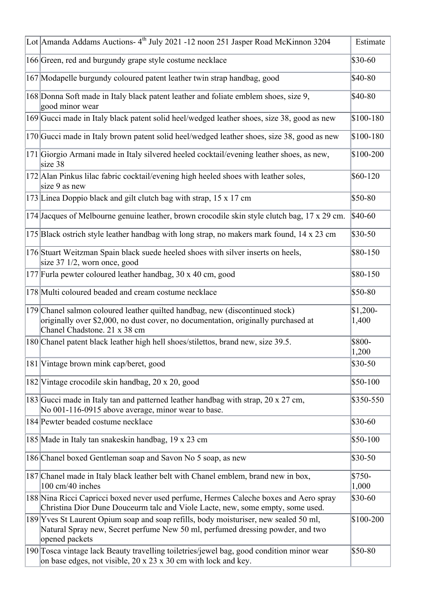| Lot Amanda Addams Auctions-4 <sup>th</sup> July 2021 -12 noon 251 Jasper Road McKinnon 3204                                                                                                       | Estimate           |
|---------------------------------------------------------------------------------------------------------------------------------------------------------------------------------------------------|--------------------|
| 166 Green, red and burgundy grape style costume necklace                                                                                                                                          | \$30-60            |
| 167 Modapelle burgundy coloured patent leather twin strap handbag, good                                                                                                                           | \$40-80            |
| 168 Donna Soft made in Italy black patent leather and foliate emblem shoes, size 9,<br>good minor wear                                                                                            | \$40-80            |
| 169 Gucci made in Italy black patent solid heel/wedged leather shoes, size 38, good as new                                                                                                        | \$100-180          |
| 170 Gucci made in Italy brown patent solid heel/wedged leather shoes, size 38, good as new                                                                                                        | \$100-180          |
| 171 Giorgio Armani made in Italy silvered heeled cocktail/evening leather shoes, as new,<br>size 38                                                                                               | \$100-200          |
| 172 Alan Pinkus lilac fabric cocktail/evening high heeled shoes with leather soles,<br>size 9 as new                                                                                              | \$60-120           |
| 173 Linea Doppio black and gilt clutch bag with strap, 15 x 17 cm                                                                                                                                 | \$50-80            |
| 174 Jacques of Melbourne genuine leather, brown crocodile skin style clutch bag, 17 x 29 cm.                                                                                                      | \$40-60            |
| 175 Black ostrich style leather handbag with long strap, no makers mark found, 14 x 23 cm                                                                                                         | \$30-50            |
| 176 Stuart Weitzman Spain black suede heeled shoes with silver inserts on heels,<br>size $37 \frac{1}{2}$ , worn once, good                                                                       | \$80-150           |
| 177 Furla pewter coloured leather handbag, 30 x 40 cm, good                                                                                                                                       | \$80-150           |
| 178 Multi coloured beaded and cream costume necklace                                                                                                                                              | \$50-80            |
| 179 Chanel salmon coloured leather quilted handbag, new (discontinued stock)<br>originally over \$2,000, no dust cover, no documentation, originally purchased at<br>Chanel Chadstone. 21 x 38 cm | $$1,200-$<br>1,400 |
| 180 Chanel patent black leather high hell shoes/stilettos, brand new, size 39.5.                                                                                                                  | \$800-<br>1,200    |
| 181 Vintage brown mink cap/beret, good                                                                                                                                                            | \$30-50            |
| 182 Vintage crocodile skin handbag, 20 x 20, good                                                                                                                                                 | \$50-100           |
| 183 Gucci made in Italy tan and patterned leather handbag with strap, 20 x 27 cm,<br>No 001-116-0915 above average, minor wear to base.                                                           | \$350-550          |
| 184 Pewter beaded costume necklace                                                                                                                                                                | \$30-60            |
| 185 Made in Italy tan snakeskin handbag, 19 x 23 cm                                                                                                                                               | \$50-100           |
| 186 Chanel boxed Gentleman soap and Savon No 5 soap, as new                                                                                                                                       | \$30-50            |
| 187 Chanel made in Italy black leather belt with Chanel emblem, brand new in box,<br>100 cm/40 inches                                                                                             | \$750-<br>1,000    |
| 188 Nina Ricci Capricci boxed never used perfume, Hermes Caleche boxes and Aero spray<br>Christina Dior Dune Douceurm talc and Viole Lacte, new, some empty, some used.                           | \$30-60            |
| 189 Yves St Laurent Opium soap and soap refills, body moisturiser, new sealed 50 ml,<br>Natural Spray new, Secret perfume New 50 ml, perfumed dressing powder, and two<br>opened packets          | \$100-200          |
| 190 Tosca vintage lack Beauty travelling toiletries/jewel bag, good condition minor wear<br>on base edges, not visible, 20 x 23 x 30 cm with lock and key.                                        | \$50-80            |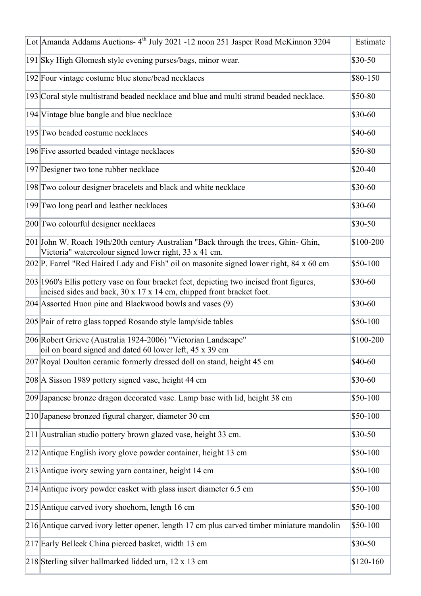| Lot Amanda Addams Auctions-4 <sup>th</sup> July 2021 -12 noon 251 Jasper Road McKinnon 3204                                                                         | Estimate  |
|---------------------------------------------------------------------------------------------------------------------------------------------------------------------|-----------|
| 191 Sky High Glomesh style evening purses/bags, minor wear.                                                                                                         | $$30-50$  |
| 192 Four vintage costume blue stone/bead necklaces                                                                                                                  | \$80-150  |
| 193 Coral style multistrand beaded necklace and blue and multi strand beaded necklace.                                                                              | \$50-80   |
| 194 Vintage blue bangle and blue necklace                                                                                                                           | \$30-60   |
| 195 Two beaded costume necklaces                                                                                                                                    | \$40-60   |
| 196 Five assorted beaded vintage necklaces                                                                                                                          | \$50-80   |
| 197 Designer two tone rubber necklace                                                                                                                               | $$20-40$  |
| 198 Two colour designer bracelets and black and white necklace                                                                                                      | \$30-60   |
| 199 Two long pearl and leather necklaces                                                                                                                            | \$30-60   |
| 200 Two colourful designer necklaces                                                                                                                                | \$30-50   |
| 201 John W. Roach 19th/20th century Australian "Back through the trees, Ghin-Ghin,<br>Victoria" watercolour signed lower right, 33 x 41 cm.                         | \$100-200 |
| 202 P. Farrel "Red Haired Lady and Fish" oil on masonite signed lower right, 84 x 60 cm                                                                             | \$50-100  |
| [203] [1960's Ellis pottery vase on four bracket feet, depicting two incised front figures,<br>incised sides and back, 30 x 17 x 14 cm, chipped front bracket foot. | \$30-60   |
| 204 Assorted Huon pine and Blackwood bowls and vases (9)                                                                                                            | \$30-60   |
| 205 Pair of retro glass topped Rosando style lamp/side tables                                                                                                       | \$50-100  |
| 206 Robert Grieve (Australia 1924-2006) "Victorian Landscape"<br>oil on board signed and dated 60 lower left, 45 x 39 cm                                            | \$100-200 |
| 207 Royal Doulton ceramic formerly dressed doll on stand, height 45 cm                                                                                              | $$40-60$  |
| 208 A Sisson 1989 pottery signed vase, height 44 cm                                                                                                                 | \$30-60   |
| 209 Japanese bronze dragon decorated vase. Lamp base with lid, height 38 cm                                                                                         | \$50-100  |
| 210 Japanese bronzed figural charger, diameter 30 cm                                                                                                                | \$50-100  |
| 211 Australian studio pottery brown glazed vase, height 33 cm.                                                                                                      | \$30-50   |
| 212 Antique English ivory glove powder container, height 13 cm                                                                                                      | \$50-100  |
| 213 Antique ivory sewing yarn container, height 14 cm                                                                                                               | \$50-100  |
| $214$ Antique ivory powder casket with glass insert diameter 6.5 cm                                                                                                 | \$50-100  |
| 215 Antique carved ivory shoehorn, length 16 cm                                                                                                                     | \$50-100  |
| 216 Antique carved ivory letter opener, length 17 cm plus carved timber miniature mandolin                                                                          | \$50-100  |
| 217 Early Belleek China pierced basket, width 13 cm                                                                                                                 | \$30-50   |
| 218 Sterling silver hallmarked lidded urn, 12 x 13 cm                                                                                                               | \$120-160 |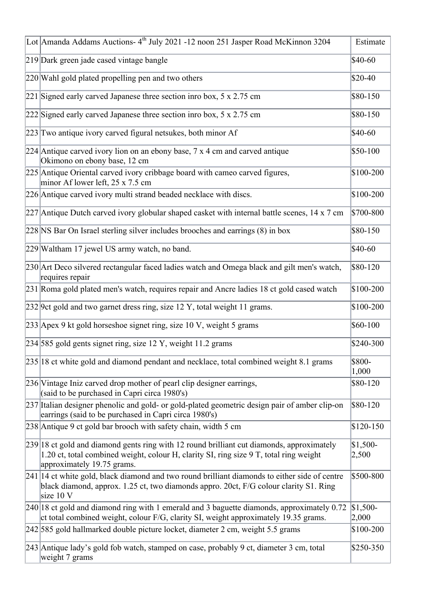| Lot Amanda Addams Auctions- 4 <sup>th</sup> July 2021 -12 noon 251 Jasper Road McKinnon 3204                                                                                                                      | Estimate           |
|-------------------------------------------------------------------------------------------------------------------------------------------------------------------------------------------------------------------|--------------------|
| 219 Dark green jade cased vintage bangle                                                                                                                                                                          | \$40-60            |
| 220 Wahl gold plated propelling pen and two others                                                                                                                                                                | $$20-40$           |
| 221 Signed early carved Japanese three section into box, 5 x 2.75 cm                                                                                                                                              | \$80-150           |
| 222 Signed early carved Japanese three section inro box, 5 x 2.75 cm                                                                                                                                              | $$80-150$          |
| 223 Two antique ivory carved figural netsukes, both minor Af                                                                                                                                                      | $$40-60$           |
| 224 Antique carved ivory lion on an ebony base, $7 \times 4$ cm and carved antique<br>Okimono on ebony base, 12 cm                                                                                                | $$50-100$          |
| 225 Antique Oriental carved ivory cribbage board with cameo carved figures,<br>minor Af lower left, $25 \times 7.5$ cm                                                                                            | \$100-200          |
| 226 Antique carved ivory multi strand beaded necklace with discs.                                                                                                                                                 | \$100-200          |
| $227$ Antique Dutch carved ivory globular shaped casket with internal battle scenes, 14 x 7 cm                                                                                                                    | \$700-800          |
| 228 NS Bar On Israel sterling silver includes brooches and earrings (8) in box                                                                                                                                    | \$80-150           |
| 229 Waltham 17 jewel US army watch, no band.                                                                                                                                                                      | \$40-60            |
| 230 Art Deco silvered rectangular faced ladies watch and Omega black and gilt men's watch,<br>requires repair                                                                                                     | \$80-120           |
| 231 Roma gold plated men's watch, requires repair and Ancre ladies 18 ct gold cased watch                                                                                                                         | \$100-200          |
| 232 9ct gold and two garnet dress ring, size 12 Y, total weight 11 grams.                                                                                                                                         | \$100-200          |
| 233 Apex 9 kt gold horseshoe signet ring, size 10 V, weight 5 grams                                                                                                                                               | \$60-100           |
| 234 585 gold gents signet ring, size 12 Y, weight 11.2 grams                                                                                                                                                      | \$240-300          |
| 235 18 ct white gold and diamond pendant and necklace, total combined weight 8.1 grams                                                                                                                            | \$800-<br>1,000    |
| 236 Vintage Iniz carved drop mother of pearl clip designer earrings,<br>(said to be purchased in Capri circa 1980's)                                                                                              | \$80-120           |
| 237 Italian designer phenolic and gold- or gold-plated geometric design pair of amber clip-on<br>earrings (said to be purchased in Capri circa 1980's)                                                            | \$80-120           |
| 238 Antique 9 ct gold bar brooch with safety chain, width 5 cm                                                                                                                                                    | $$120-150$         |
| 239 18 ct gold and diamond gents ring with 12 round brilliant cut diamonds, approximately<br>1.20 ct, total combined weight, colour H, clarity SI, ring size 9 T, total ring weight<br>approximately 19.75 grams. | $$1,500-$<br>2,500 |
| 241 14 ct white gold, black diamond and two round brilliant diamonds to either side of centre<br>black diamond, approx. 1.25 ct, two diamonds appro. 20ct, F/G colour clarity S1. Ring<br>size 10 V               | \$500-800          |
| $ 240 18$ ct gold and diamond ring with 1 emerald and 3 baguette diamonds, approximately 0.72<br>ct total combined weight, colour F/G, clarity SI, weight approximately 19.35 grams.                              | $$1,500-$<br>2,000 |
| 242 585 gold hallmarked double picture locket, diameter 2 cm, weight 5.5 grams                                                                                                                                    | \$100-200          |
| 243 Antique lady's gold fob watch, stamped on case, probably 9 ct, diameter 3 cm, total<br>weight 7 grams                                                                                                         | \$250-350          |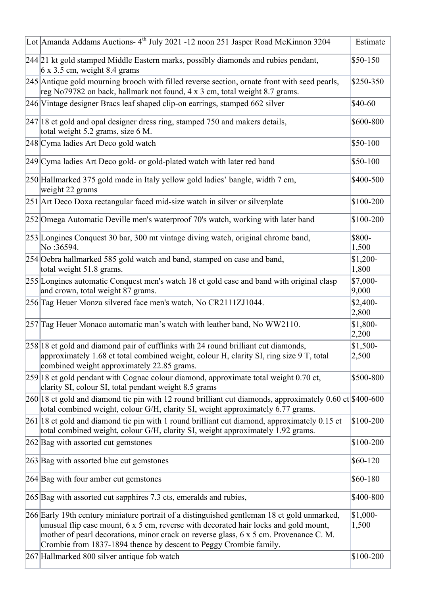| Lot Amanda Addams Auctions-4 <sup>th</sup> July 2021 -12 noon 251 Jasper Road McKinnon 3204                                                                                                                                                                                                                                                       | Estimate           |
|---------------------------------------------------------------------------------------------------------------------------------------------------------------------------------------------------------------------------------------------------------------------------------------------------------------------------------------------------|--------------------|
| 244 21 kt gold stamped Middle Eastern marks, possibly diamonds and rubies pendant,<br>6 x 3.5 cm, weight 8.4 grams                                                                                                                                                                                                                                | \$50-150           |
| 245 Antique gold mourning brooch with filled reverse section, ornate front with seed pearls,<br>reg No79782 on back, hallmark not found, 4 x 3 cm, total weight 8.7 grams.                                                                                                                                                                        | \$250-350          |
| 246 Vintage designer Bracs leaf shaped clip-on earrings, stamped 662 silver                                                                                                                                                                                                                                                                       | $$40-60$           |
| $ 247 18$ ct gold and opal designer dress ring, stamped 750 and makers details,<br>total weight 5.2 grams, size 6 M.                                                                                                                                                                                                                              | \$600-800          |
| 248 Cyma ladies Art Deco gold watch                                                                                                                                                                                                                                                                                                               | \$50-100           |
| 249 Cyma ladies Art Deco gold- or gold-plated watch with later red band                                                                                                                                                                                                                                                                           | \$50-100           |
| 250 Hallmarked 375 gold made in Italy yellow gold ladies' bangle, width 7 cm,<br>weight 22 grams                                                                                                                                                                                                                                                  | \$400-500          |
| 251 Art Deco Doxa rectangular faced mid-size watch in silver or silverplate                                                                                                                                                                                                                                                                       | \$100-200          |
| 252 Omega Automatic Deville men's waterproof 70's watch, working with later band                                                                                                                                                                                                                                                                  | \$100-200          |
| 253 Longines Conquest 30 bar, 300 mt vintage diving watch, original chrome band,<br>No:36594.                                                                                                                                                                                                                                                     | \$800-<br>1,500    |
| 254 Oebra hallmarked 585 gold watch and band, stamped on case and band,<br>total weight 51.8 grams.                                                                                                                                                                                                                                               | $$1,200-$<br>1,800 |
| 255 Longines automatic Conquest men's watch 18 ct gold case and band with original clasp<br>and crown, total weight 87 grams.                                                                                                                                                                                                                     | \$7,000-<br>9,000  |
| 256 Tag Heuer Monza silvered face men's watch, No CR2111ZJ1044.                                                                                                                                                                                                                                                                                   | $$2,400-$<br>2,800 |
| 257 Tag Heuer Monaco automatic man's watch with leather band, No WW2110.                                                                                                                                                                                                                                                                          | \$1,800-<br>2,200  |
| $ 258 18$ ct gold and diamond pair of cufflinks with 24 round brilliant cut diamonds,<br>approximately 1.68 ct total combined weight, colour H, clarity SI, ring size 9 T, total<br>combined weight approximately 22.85 grams.                                                                                                                    | $$1,500-$<br>2,500 |
| $ 259 18$ ct gold pendant with Cognac colour diamond, approximate total weight 0.70 ct,<br>clarity SI, colour SI, total pendant weight 8.5 grams                                                                                                                                                                                                  | \$500-800          |
| $ 260 18$ et gold and diamond tie pin with 12 round brilliant cut diamonds, approximately 0.60 ct \$400-600<br>total combined weight, colour G/H, clarity SI, weight approximately 6.77 grams.                                                                                                                                                    |                    |
| 261 18 ct gold and diamond tie pin with 1 round brilliant cut diamond, approximately 0.15 ct<br>total combined weight, colour G/H, clarity SI, weight approximately 1.92 grams.                                                                                                                                                                   | \$100-200          |
| 262 Bag with assorted cut gemstones                                                                                                                                                                                                                                                                                                               | \$100-200          |
| $[263]$ Bag with assorted blue cut gemstones                                                                                                                                                                                                                                                                                                      | \$60-120           |
| $264$ Bag with four amber cut gemstones                                                                                                                                                                                                                                                                                                           | \$60-180           |
| 265 Bag with assorted cut sapphires 7.3 cts, emeralds and rubies,                                                                                                                                                                                                                                                                                 | \$400-800          |
| 266 Early 19th century miniature portrait of a distinguished gentleman 18 ct gold unmarked,<br>unusual flip case mount, 6 x 5 cm, reverse with decorated hair locks and gold mount,<br>mother of pearl decorations, minor crack on reverse glass, 6 x 5 cm. Provenance C. M.<br>Crombie from 1837-1894 thence by descent to Peggy Crombie family. | $$1,000-$<br>1,500 |
| 267 Hallmarked 800 silver antique fob watch                                                                                                                                                                                                                                                                                                       | \$100-200          |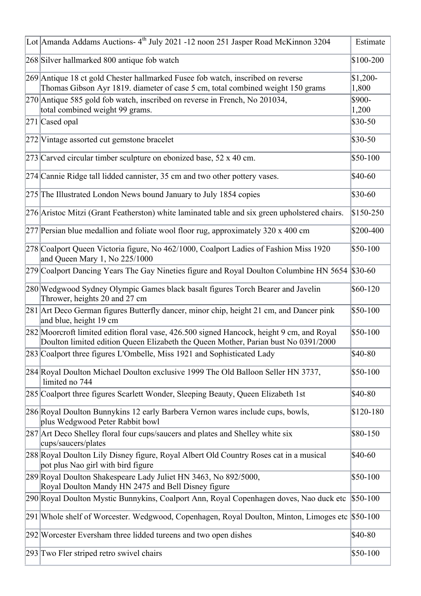| Lot Amanda Addams Auctions- 4 <sup>th</sup> July 2021 -12 noon 251 Jasper Road McKinnon 3204                                                                                    | Estimate           |
|---------------------------------------------------------------------------------------------------------------------------------------------------------------------------------|--------------------|
| 268 Silver hallmarked 800 antique fob watch                                                                                                                                     | \$100-200          |
| 269 Antique 18 ct gold Chester hallmarked Fusee fob watch, inscribed on reverse<br>Thomas Gibson Ayr 1819. diameter of case 5 cm, total combined weight 150 grams               | $$1,200-$<br>1,800 |
| 270 Antique 585 gold fob watch, inscribed on reverse in French, No 201034,<br>total combined weight 99 grams.                                                                   | \$900-<br>1,200    |
| $271$ Cased opal                                                                                                                                                                | \$30-50            |
| 272 Vintage assorted cut gemstone bracelet                                                                                                                                      | \$30-50            |
| 273 Carved circular timber sculpture on ebonized base, 52 x 40 cm.                                                                                                              | \$50-100           |
| 274 Cannie Ridge tall lidded cannister, 35 cm and two other pottery vases.                                                                                                      | $$40-60$           |
| 275 The Illustrated London News bound January to July 1854 copies                                                                                                               | \$30-60            |
| 276 Aristoc Mitzi (Grant Featherston) white laminated table and six green upholstered chairs.                                                                                   | \$150-250          |
| $277$ Persian blue medallion and foliate wool floor rug, approximately 320 x 400 cm                                                                                             | \$200-400          |
| 278 Coalport Queen Victoria figure, No 462/1000, Coalport Ladies of Fashion Miss 1920<br>and Queen Mary 1, No 225/1000                                                          | $$50-100$          |
| 279 Coalport Dancing Years The Gay Nineties figure and Royal Doulton Columbine HN 5654                                                                                          | $$30-60$           |
| 280 Wedgwood Sydney Olympic Games black basalt figures Torch Bearer and Javelin<br>Thrower, heights 20 and 27 cm                                                                | \$60-120           |
| 281 Art Deco German figures Butterfly dancer, minor chip, height 21 cm, and Dancer pink<br>and blue, height 19 cm                                                               | $$50-100$          |
| 282 Moorcroft limited edition floral vase, 426.500 signed Hancock, height 9 cm, and Royal<br>Doulton limited edition Queen Elizabeth the Queen Mother, Parian bust No 0391/2000 | \$50-100           |
| 283 Coalport three figures L'Ombelle, Miss 1921 and Sophisticated Lady                                                                                                          | \$40-80            |
| 284 Royal Doulton Michael Doulton exclusive 1999 The Old Balloon Seller HN 3737,<br>limited no 744                                                                              | $$50-100$          |
| 285 Coalport three figures Scarlett Wonder, Sleeping Beauty, Queen Elizabeth 1st                                                                                                | \$40-80            |
| 286 Royal Doulton Bunnykins 12 early Barbera Vernon wares include cups, bowls,<br>plus Wedgwood Peter Rabbit bowl                                                               | \$120-180          |
| 287 Art Deco Shelley floral four cups/saucers and plates and Shelley white six<br>cups/saucers/plates                                                                           | \$80-150           |
| 288 Royal Doulton Lily Disney figure, Royal Albert Old Country Roses cat in a musical<br>pot plus Nao girl with bird figure                                                     | \$40-60            |
| 289 Royal Doulton Shakespeare Lady Juliet HN 3463, No 892/5000,<br>Royal Doulton Mandy HN 2475 and Bell Disney figure                                                           | \$50-100           |
| 290 Royal Doulton Mystic Bunnykins, Coalport Ann, Royal Copenhagen doves, Nao duck etc                                                                                          | $$50-100$          |
| 291 Whole shelf of Worcester. Wedgwood, Copenhagen, Royal Doulton, Minton, Limoges etc                                                                                          | $$50-100$          |
| 292 Worcester Eversham three lidded tureens and two open dishes                                                                                                                 | \$40-80            |
| 293 Two Fler striped retro swivel chairs                                                                                                                                        | \$50-100           |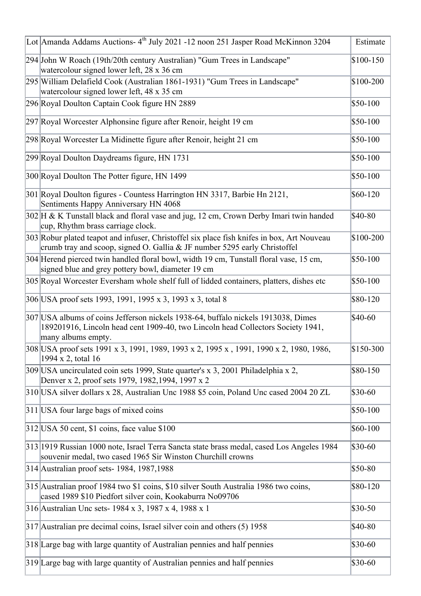| Lot Amanda Addams Auctions- 4 <sup>th</sup> July 2021 -12 noon 251 Jasper Road McKinnon 3204                                                                                               | Estimate  |
|--------------------------------------------------------------------------------------------------------------------------------------------------------------------------------------------|-----------|
| 294 John W Roach (19th/20th century Australian) "Gum Trees in Landscape"<br>watercolour signed lower left, 28 x 36 cm                                                                      | \$100-150 |
| 295 William Delafield Cook (Australian 1861-1931) "Gum Trees in Landscape"<br>watercolour signed lower left, 48 x 35 cm                                                                    | \$100-200 |
| 296 Royal Doulton Captain Cook figure HN 2889                                                                                                                                              | \$50-100  |
| 297 Royal Worcester Alphonsine figure after Renoir, height 19 cm                                                                                                                           | $$50-100$ |
| 298 Royal Worcester La Midinette figure after Renoir, height 21 cm                                                                                                                         | $$50-100$ |
| 299 Royal Doulton Daydreams figure, HN 1731                                                                                                                                                | \$50-100  |
| 300 Royal Doulton The Potter figure, HN 1499                                                                                                                                               | \$50-100  |
| 301 Royal Doulton figures - Countess Harrington HN 3317, Barbie Hn 2121,<br>Sentiments Happy Anniversary HN 4068                                                                           | \$60-120  |
| 302 H & K Tunstall black and floral vase and jug, 12 cm, Crown Derby Imari twin handed<br>cup, Rhythm brass carriage clock.                                                                | \$40-80   |
| 303 Robur plated teapot and infuser, Christoffel six place fish knifes in box, Art Nouveau<br>crumb tray and scoop, signed O. Gallia & JF number 5295 early Christoffel                    | \$100-200 |
| 304 Herend pierced twin handled floral bowl, width 19 cm, Tunstall floral vase, 15 cm,<br>signed blue and grey pottery bowl, diameter 19 cm                                                | \$50-100  |
| 305 Royal Worcester Eversham whole shelf full of lidded containers, platters, dishes etc                                                                                                   | $$50-100$ |
| 306 USA proof sets 1993, 1991, 1995 x 3, 1993 x 3, total 8                                                                                                                                 | \$80-120  |
| 307 USA albums of coins Jefferson nickels 1938-64, buffalo nickels 1913038, Dimes<br>189201916, Lincoln head cent 1909-40, two Lincoln head Collectors Society 1941,<br>many albums empty. | \$40-60   |
| 308 USA proof sets 1991 x 3, 1991, 1989, 1993 x 2, 1995 x , 1991, 1990 x 2, 1980, 1986,<br>1994 x 2, total 16                                                                              | \$150-300 |
| 309 USA uncirculated coin sets 1999, State quarter's x 3, 2001 Philadelphia x 2,<br>Denver x 2, proof sets 1979, 1982, 1994, 1997 x 2                                                      | \$80-150  |
| 310 USA silver dollars x 28, Australian Unc 1988 \$5 coin, Poland Unc cased 2004 20 ZL                                                                                                     | $$30-60$  |
| 311 USA four large bags of mixed coins                                                                                                                                                     | \$50-100  |
| $312$ USA 50 cent, \$1 coins, face value \$100                                                                                                                                             | \$60-100  |
| 313 1919 Russian 1000 note, Israel Terra Sancta state brass medal, cased Los Angeles 1984<br>souvenir medal, two cased 1965 Sir Winston Churchill crowns                                   | $$30-60$  |
| 314 Australian proof sets-1984, 1987, 1988                                                                                                                                                 | \$50-80   |
| 315 Australian proof 1984 two \$1 coins, \$10 silver South Australia 1986 two coins,<br>cased 1989 \$10 Piedfort silver coin, Kookaburra No09706                                           | \$80-120  |
| 316 Australian Unc sets-1984 x 3, 1987 x 4, 1988 x 1                                                                                                                                       | $$30-50$  |
| $ 317 $ Australian pre decimal coins, Israel silver coin and others (5) 1958                                                                                                               | \$40-80   |
| 318 Large bag with large quantity of Australian pennies and half pennies                                                                                                                   | \$30-60   |
| 319 Large bag with large quantity of Australian pennies and half pennies                                                                                                                   | \$30-60   |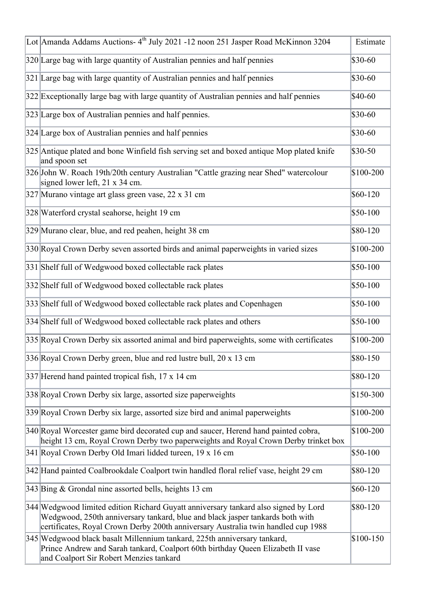| Lot Amanda Addams Auctions-4 <sup>th</sup> July 2021 -12 noon 251 Jasper Road McKinnon 3204                                                                                                                                                               | Estimate   |
|-----------------------------------------------------------------------------------------------------------------------------------------------------------------------------------------------------------------------------------------------------------|------------|
| 320 Large bag with large quantity of Australian pennies and half pennies                                                                                                                                                                                  | \$30-60    |
| 321 Large bag with large quantity of Australian pennies and half pennies                                                                                                                                                                                  | \$30-60    |
| 322 Exceptionally large bag with large quantity of Australian pennies and half pennies                                                                                                                                                                    | \$40-60    |
| 323 Large box of Australian pennies and half pennies.                                                                                                                                                                                                     | \$30-60    |
| 324 Large box of Australian pennies and half pennies                                                                                                                                                                                                      | \$30-60    |
| 325 Antique plated and bone Winfield fish serving set and boxed antique Mop plated knife<br>and spoon set                                                                                                                                                 | \$30-50    |
| 326 John W. Roach 19th/20th century Australian "Cattle grazing near Shed" watercolour<br>signed lower left, 21 x 34 cm.                                                                                                                                   | \$100-200  |
| 327 Murano vintage art glass green vase, 22 x 31 cm                                                                                                                                                                                                       | $$60-120$  |
| 328 Waterford crystal seahorse, height 19 cm                                                                                                                                                                                                              | \$50-100   |
| 329 Murano clear, blue, and red peahen, height 38 cm                                                                                                                                                                                                      | \$80-120   |
| 330 Royal Crown Derby seven assorted birds and animal paperweights in varied sizes                                                                                                                                                                        | \$100-200  |
| 331 Shelf full of Wedgwood boxed collectable rack plates                                                                                                                                                                                                  | \$50-100   |
| 332 Shelf full of Wedgwood boxed collectable rack plates                                                                                                                                                                                                  | \$50-100   |
| 333 Shelf full of Wedgwood boxed collectable rack plates and Copenhagen                                                                                                                                                                                   | \$50-100   |
| 334 Shelf full of Wedgwood boxed collectable rack plates and others                                                                                                                                                                                       | \$50-100   |
| 335 Royal Crown Derby six assorted animal and bird paperweights, some with certificates                                                                                                                                                                   | \$100-200  |
| 336 Royal Crown Derby green, blue and red lustre bull, 20 x 13 cm                                                                                                                                                                                         | \$80-150   |
| 337 Herend hand painted tropical fish, 17 x 14 cm                                                                                                                                                                                                         | \$80-120   |
| 338 Royal Crown Derby six large, assorted size paperweights                                                                                                                                                                                               | \$150-300  |
| 339 Royal Crown Derby six large, assorted size bird and animal paperweights                                                                                                                                                                               | \$100-200  |
| 340 Royal Worcester game bird decorated cup and saucer, Herend hand painted cobra,<br>height 13 cm, Royal Crown Derby two paperweights and Royal Crown Derby trinket box                                                                                  | $$100-200$ |
| 341 Royal Crown Derby Old Imari lidded tureen, 19 x 16 cm                                                                                                                                                                                                 | \$50-100   |
| 342 Hand painted Coalbrookdale Coalport twin handled floral relief vase, height 29 cm                                                                                                                                                                     | \$80-120   |
| 343 Bing & Grondal nine assorted bells, heights 13 cm                                                                                                                                                                                                     | \$60-120   |
| 344 Wedgwood limited edition Richard Guyatt anniversary tankard also signed by Lord<br>Wedgwood, 250th anniversary tankard, blue and black jasper tankards both with<br>certificates, Royal Crown Derby 200th anniversary Australia twin handled cup 1988 | \$80-120   |
| 345 Wedgwood black basalt Millennium tankard, 225th anniversary tankard,<br>Prince Andrew and Sarah tankard, Coalport 60th birthday Queen Elizabeth II vase<br>and Coalport Sir Robert Menzies tankard                                                    | \$100-150  |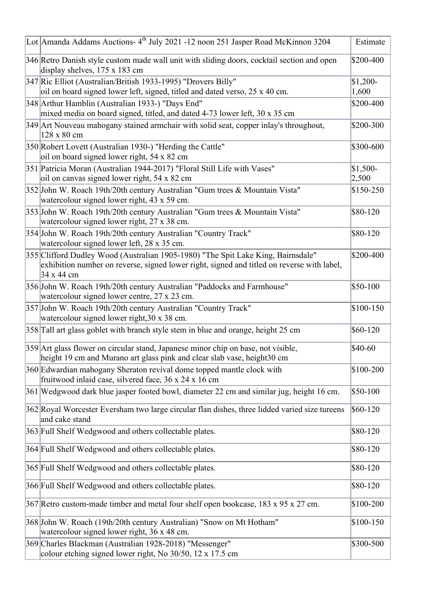| Lot Amanda Addams Auctions-4 <sup>th</sup> July 2021 -12 noon 251 Jasper Road McKinnon 3204                                                                                                  | Estimate           |
|----------------------------------------------------------------------------------------------------------------------------------------------------------------------------------------------|--------------------|
| 346 Retro Danish style custom made wall unit with sliding doors, cocktail section and open<br>display shelves, $175 \times 183$ cm                                                           | \$200-400          |
| 347 Ric Elliot (Australian/British 1933-1995) "Drovers Billy"<br>oil on board signed lower left, signed, titled and dated verso, 25 x 40 cm.                                                 | $$1,200-$<br>1,600 |
| 348 Arthur Hamblin (Australian 1933-) "Days End"<br>mixed media on board signed, titled, and dated 4-73 lower left, 30 x 35 cm                                                               | \$200-400          |
| 349 Art Nouveau mahogany stained armchair with solid seat, copper inlay's throughout,<br>128 x 80 cm                                                                                         | \$200-300          |
| 350 Robert Lovett (Australian 1930-) "Herding the Cattle"<br>oil on board signed lower right, 54 x 82 cm                                                                                     | \$300-600          |
| 351 Patricia Moran (Australian 1944-2017) "Floral Still Life with Vases"<br>oil on canvas signed lower right, 54 x 82 cm                                                                     | $$1,500-$<br>2,500 |
| 352 John W. Roach 19th/20th century Australian "Gum trees & Mountain Vista"<br>watercolour signed lower right, 43 x 59 cm.                                                                   | $$150-250$         |
| 353 John W. Roach 19th/20th century Australian "Gum trees & Mountain Vista"<br>watercolour signed lower right, 27 x 38 cm.                                                                   | \$80-120           |
| 354 John W. Roach 19th/20th century Australian "Country Track"<br>watercolour signed lower left, 28 x 35 cm.                                                                                 | \$80-120           |
| 355 Clifford Dudley Wood (Australian 1905-1980) "The Spit Lake King, Bairnsdale"<br>exhibition number on reverse, signed lower right, signed and titled on reverse with label,<br>34 x 44 cm | \$200-400          |
| 356 John W. Roach 19th/20th century Australian "Paddocks and Farmhouse"<br>watercolour signed lower centre, 27 x 23 cm.                                                                      | \$50-100           |
| 357 John W. Roach 19th/20th century Australian "Country Track"<br>watercolour signed lower right, 30 x 38 cm.                                                                                | $$100-150$         |
| 358 Tall art glass goblet with branch style stem in blue and orange, height 25 cm                                                                                                            | $$60-120$          |
| 359 Art glass flower on circular stand, Japanese minor chip on base, not visible,<br>height 19 cm and Murano art glass pink and clear slab vase, height 30 cm                                | \$40-60            |
| 360 Edwardian mahogany Sheraton revival dome topped mantle clock with<br>fruitwood inlaid case, silvered face, 36 x 24 x 16 cm                                                               | \$100-200          |
| 361 Wedgwood dark blue jasper footed bowl, diameter 22 cm and similar jug, height 16 cm.                                                                                                     | $$50-100$          |
| 362 Royal Worcester Eversham two large circular flan dishes, three lidded varied size tureens<br>and cake stand                                                                              | \$60-120           |
| 363 Full Shelf Wedgwood and others collectable plates.                                                                                                                                       | \$80-120           |
| 364 Full Shelf Wedgwood and others collectable plates.                                                                                                                                       | \$80-120           |
| 365 Full Shelf Wedgwood and others collectable plates.                                                                                                                                       | \$80-120           |
| 366 Full Shelf Wedgwood and others collectable plates.                                                                                                                                       | \$80-120           |
| 367 Retro custom-made timber and metal four shelf open bookcase, 183 x 95 x 27 cm.                                                                                                           | \$100-200          |
| 368 John W. Roach (19th/20th century Australian) "Snow on Mt Hotham"<br>watercolour signed lower right, 36 x 48 cm.                                                                          | $$100-150$         |
| 369 Charles Blackman (Australian 1928-2018) "Messenger"<br>colour etching signed lower right, No 30/50, 12 x 17.5 cm                                                                         | \$300-500          |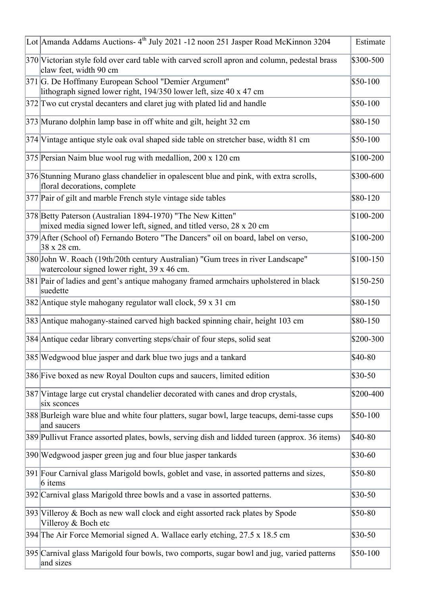| Lot Amanda Addams Auctions-4 <sup>th</sup> July 2021 -12 noon 251 Jasper Road McKinnon 3204                                       | Estimate   |
|-----------------------------------------------------------------------------------------------------------------------------------|------------|
| 370 Victorian style fold over card table with carved scroll apron and column, pedestal brass<br>claw feet, width 90 cm            | \$300-500  |
| 371 G. De Hoffmany European School "Demier Argument"<br>lithograph signed lower right, 194/350 lower left, size 40 x 47 cm        | $$50-100$  |
| 372 Two cut crystal decanters and claret jug with plated lid and handle                                                           | $$50-100$  |
| 373 Murano dolphin lamp base in off white and gilt, height 32 cm                                                                  | $$80-150$  |
| 374 Vintage antique style oak oval shaped side table on stretcher base, width 81 cm                                               | $$50-100$  |
| 375 Persian Naim blue wool rug with medallion, 200 x 120 cm                                                                       | \$100-200  |
| 376 Stunning Murano glass chandelier in opalescent blue and pink, with extra scrolls,<br>floral decorations, complete             | \$300-600  |
| 377 Pair of gilt and marble French style vintage side tables                                                                      | \$80-120   |
| 378 Betty Paterson (Australian 1894-1970) "The New Kitten"<br>mixed media signed lower left, signed, and titled verso, 28 x 20 cm | $$100-200$ |
| 379 After (School of) Fernando Botero "The Dancers" oil on board, label on verso,<br>38 x 28 cm.                                  | \$100-200  |
| 380 John W. Roach (19th/20th century Australian) "Gum trees in river Landscape"<br>watercolour signed lower right, 39 x 46 cm.    | $$100-150$ |
| 381 Pair of ladies and gent's antique mahogany framed armchairs upholstered in black<br>suedette                                  | $$150-250$ |
| 382 Antique style mahogany regulator wall clock, 59 x 31 cm                                                                       | \$80-150   |
| 383 Antique mahogany-stained carved high backed spinning chair, height 103 cm                                                     | $$80-150$  |
| 384 Antique cedar library converting steps/chair of four steps, solid seat                                                        | \$200-300  |
| 385 Wedgwood blue jasper and dark blue two jugs and a tankard                                                                     | \$40-80    |
| 386 Five boxed as new Royal Doulton cups and saucers, limited edition                                                             | $$30-50$   |
| 387 Vintage large cut crystal chandelier decorated with canes and drop crystals,<br>six sconces                                   | \$200-400  |
| 388 Burleigh ware blue and white four platters, sugar bowl, large teacups, demi-tasse cups<br>and saucers                         | $$50-100$  |
| 389 Pullivut France assorted plates, bowls, serving dish and lidded tureen (approx. 36 items)                                     | \$40-80    |
| 390 Wedgwood jasper green jug and four blue jasper tankards                                                                       | $$30-60$   |
| 391 Four Carnival glass Marigold bowls, goblet and vase, in assorted patterns and sizes,<br>$6$ items                             | \$50-80    |
| 392 Carnival glass Marigold three bowls and a vase in assorted patterns.                                                          | $$30-50$   |
| 393 Villeroy & Boch as new wall clock and eight assorted rack plates by Spode<br>Villeroy & Boch etc                              | \$50-80    |
| 394 The Air Force Memorial signed A. Wallace early etching, 27.5 x 18.5 cm                                                        | $$30-50$   |
| 395 Carnival glass Marigold four bowls, two comports, sugar bowl and jug, varied patterns<br>and sizes                            | $$50-100$  |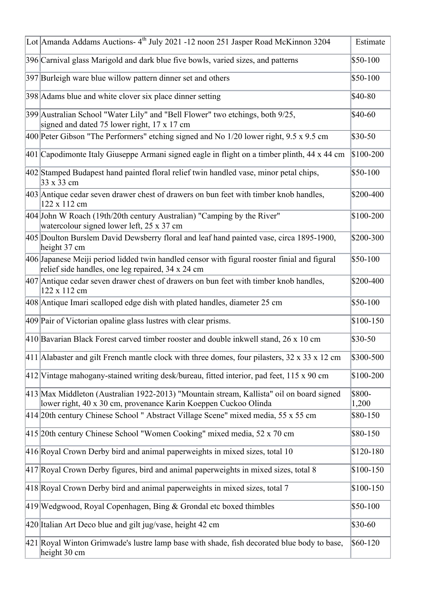| Lot Amanda Addams Auctions-4 <sup>th</sup> July 2021 -12 noon 251 Jasper Road McKinnon 3204                                                                 | Estimate        |
|-------------------------------------------------------------------------------------------------------------------------------------------------------------|-----------------|
| 396 Carnival glass Marigold and dark blue five bowls, varied sizes, and patterns                                                                            | \$50-100        |
| 397 Burleigh ware blue willow pattern dinner set and others                                                                                                 | \$50-100        |
| 398 Adams blue and white clover six place dinner setting                                                                                                    | \$40-80         |
| 399 Australian School "Water Lily" and "Bell Flower" two etchings, both 9/25,<br>signed and dated 75 lower right, 17 x 17 cm                                | $$40-60$        |
| 400 Peter Gibson "The Performers" etching signed and No 1/20 lower right, 9.5 x 9.5 cm                                                                      | \$30-50         |
| 401 Capodimonte Italy Giuseppe Armani signed eagle in flight on a timber plinth, 44 x 44 cm                                                                 | \$100-200       |
| 402 Stamped Budapest hand painted floral relief twin handled vase, minor petal chips,<br>33 x 33 cm                                                         | \$50-100        |
| 403 Antique cedar seven drawer chest of drawers on bun feet with timber knob handles,<br>122 x 112 cm                                                       | \$200-400       |
| 404 John W Roach (19th/20th century Australian) "Camping by the River"<br>watercolour signed lower left, 25 x 37 cm                                         | \$100-200       |
| 405 Doulton Burslem David Dewsberry floral and leaf hand painted vase, circa 1895-1900,<br>height 37 cm                                                     | \$200-300       |
| 406 Japanese Meiji period lidded twin handled censor with figural rooster finial and figural<br>relief side handles, one leg repaired, 34 x 24 cm           | \$50-100        |
| 407 Antique cedar seven drawer chest of drawers on bun feet with timber knob handles,<br>122 x 112 cm                                                       | \$200-400       |
| 408 Antique Imari scalloped edge dish with plated handles, diameter 25 cm                                                                                   | \$50-100        |
| 409 Pair of Victorian opaline glass lustres with clear prisms.                                                                                              | \$100-150       |
| 410 Bavarian Black Forest carved timber rooster and double inkwell stand, 26 x 10 cm                                                                        | \$30-50         |
| $ 411 $ Alabaster and gilt French mantle clock with three domes, four pilasters, 32 x 33 x 12 cm                                                            | \$300-500       |
| $ 412 $ Vintage mahogany-stained writing desk/bureau, fitted interior, pad feet, 115 x 90 cm                                                                | \$100-200       |
| 413 Max Middleton (Australian 1922-2013) "Mountain stream, Kallista" oil on board signed<br>lower right, 40 x 30 cm, provenance Karin Koeppen Cuckoo Olinda | \$800-<br>1,200 |
| 414 20th century Chinese School " Abstract Village Scene" mixed media, 55 x 55 cm                                                                           | \$80-150        |
| 415 20th century Chinese School "Women Cooking" mixed media, 52 x 70 cm                                                                                     | \$80-150        |
| 416 Royal Crown Derby bird and animal paperweights in mixed sizes, total 10                                                                                 | \$120-180       |
| 417 Royal Crown Derby figures, bird and animal paperweights in mixed sizes, total 8                                                                         | \$100-150       |
| 418 Royal Crown Derby bird and animal paperweights in mixed sizes, total 7                                                                                  | \$100-150       |
| $ 419 $ Wedgwood, Royal Copenhagen, Bing & Grondal etc boxed thimbles                                                                                       | \$50-100        |
| 420 Italian Art Deco blue and gilt jug/vase, height 42 cm                                                                                                   | \$30-60         |
| 421 Royal Winton Grimwade's lustre lamp base with shade, fish decorated blue body to base,<br>height 30 cm                                                  | \$60-120        |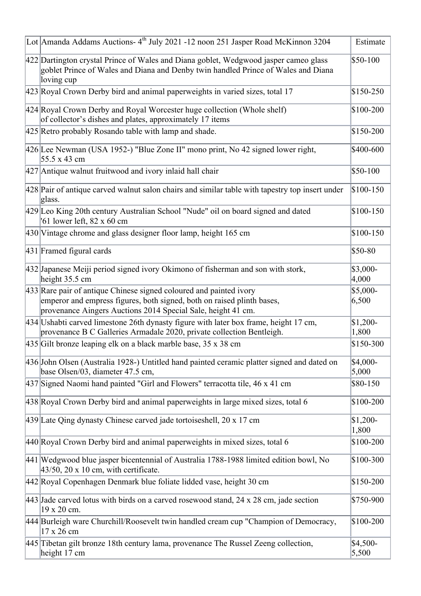| Lot Amanda Addams Auctions- 4 <sup>th</sup> July 2021 -12 noon 251 Jasper Road McKinnon 3204                                                                                                                 | Estimate           |
|--------------------------------------------------------------------------------------------------------------------------------------------------------------------------------------------------------------|--------------------|
| 422 Dartington crystal Prince of Wales and Diana goblet, Wedgwood jasper cameo glass<br>goblet Prince of Wales and Diana and Denby twin handled Prince of Wales and Diana<br>loving cup                      | \$50-100           |
| 423 Royal Crown Derby bird and animal paperweights in varied sizes, total 17                                                                                                                                 | \$150-250          |
| 424 Royal Crown Derby and Royal Worcester huge collection (Whole shelf)<br>of collector's dishes and plates, approximately 17 items                                                                          | \$100-200          |
| 425 Retro probably Rosando table with lamp and shade.                                                                                                                                                        | \$150-200          |
| 426 Lee Newman (USA 1952-) "Blue Zone II" mono print, No 42 signed lower right,<br>55.5 x 43 cm                                                                                                              | \$400-600          |
| 427 Antique walnut fruitwood and ivory inlaid hall chair                                                                                                                                                     | $$50-100$          |
| 428 Pair of antique carved walnut salon chairs and similar table with tapestry top insert under<br>glass.                                                                                                    | $$100-150$         |
| 429 Leo King 20th century Australian School "Nude" oil on board signed and dated<br>61 lower left, 82 x 60 cm                                                                                                | $$100-150$         |
| 430 Vintage chrome and glass designer floor lamp, height 165 cm                                                                                                                                              | $$100-150$         |
| 431 Framed figural cards                                                                                                                                                                                     | \$50-80            |
| 432 Japanese Meiji period signed ivory Okimono of fisherman and son with stork,<br>height $35.5 \text{ cm}$                                                                                                  | \$3,000-<br>4,000  |
| 433 Rare pair of antique Chinese signed coloured and painted ivory<br>emperor and empress figures, both signed, both on raised plinth bases,<br>provenance Aingers Auctions 2014 Special Sale, height 41 cm. | \$5,000-<br>6,500  |
| 434 Ushabti carved limestone 26th dynasty figure with later box frame, height 17 cm,<br>provenance B C Galleries Armadale 2020, private collection Bentleigh.                                                | $$1,200-$<br>1,800 |
| 435 Gilt bronze leaping elk on a black marble base, 35 x 38 cm                                                                                                                                               | \$150-300          |
| 436 John Olsen (Australia 1928-) Untitled hand painted ceramic platter signed and dated on<br>base Olsen/03, diameter 47.5 cm,                                                                               | $$4,000-$<br>5,000 |
| 437 Signed Naomi hand painted "Girl and Flowers" terracotta tile, 46 x 41 cm                                                                                                                                 | \$80-150           |
| 438 Royal Crown Derby bird and animal paperweights in large mixed sizes, total 6                                                                                                                             | $$100-200$         |
| 439 Late Qing dynasty Chinese carved jade tortoiseshell, 20 x 17 cm                                                                                                                                          | $$1,200-$<br>1,800 |
| 440 Royal Crown Derby bird and animal paperweights in mixed sizes, total 6                                                                                                                                   | \$100-200          |
| 441 Wedgwood blue jasper bicentennial of Australia 1788-1988 limited edition bowl, No<br>$ 43/50$ , 20 x 10 cm, with certificate.                                                                            | \$100-300          |
| 442 Royal Copenhagen Denmark blue foliate lidded vase, height 30 cm                                                                                                                                          | \$150-200          |
| 443 Jade carved lotus with birds on a carved rosewood stand, 24 x 28 cm, jade section<br>19 x 20 cm.                                                                                                         | \$750-900          |
| 444 Burleigh ware Churchill/Roosevelt twin handled cream cup "Champion of Democracy,<br>17 x 26 cm                                                                                                           | \$100-200          |
| 445 Tibetan gilt bronze 18th century lama, provenance The Russel Zeeng collection,<br>height 17 cm                                                                                                           | $$4,500-$<br>5,500 |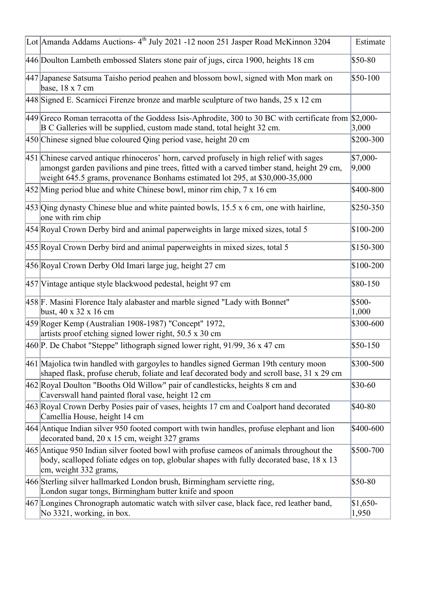| Lot Amanda Addams Auctions-4 <sup>th</sup> July 2021 -12 noon 251 Jasper Road McKinnon 3204                                                                                                                                                                          | Estimate           |
|----------------------------------------------------------------------------------------------------------------------------------------------------------------------------------------------------------------------------------------------------------------------|--------------------|
| 446 Doulton Lambeth embossed Slaters stone pair of jugs, circa 1900, heights 18 cm                                                                                                                                                                                   | \$50-80            |
| 447 Japanese Satsuma Taisho period peahen and blossom bowl, signed with Mon mark on<br>base, 18 x 7 cm                                                                                                                                                               | \$50-100           |
| 448 Signed E. Scarnicci Firenze bronze and marble sculpture of two hands, 25 x 12 cm                                                                                                                                                                                 |                    |
| 449 Greco Roman terracotta of the Goddess Isis-Aphrodite, 300 to 30 BC with certificate from $$2,000$ -<br>B C Galleries will be supplied, custom made stand, total height 32 cm.                                                                                    | 3,000              |
| 450 Chinese signed blue coloured Qing period vase, height 20 cm                                                                                                                                                                                                      | \$200-300          |
| 451 Chinese carved antique rhinoceros' horn, carved profusely in high relief with sages<br>amongst garden pavilions and pine trees, fitted with a carved timber stand, height 29 cm,<br>weight 645.5 grams, provenance Bonhams estimated lot 295, at \$30,000-35,000 | \$7,000-<br>9,000  |
| $452$ Ming period blue and white Chinese bowl, minor rim chip, $7 \times 16$ cm                                                                                                                                                                                      | \$400-800          |
| 453 Qing dynasty Chinese blue and white painted bowls, 15.5 x 6 cm, one with hairline,<br>one with rim chip                                                                                                                                                          | \$250-350          |
| 454 Royal Crown Derby bird and animal paperweights in large mixed sizes, total 5                                                                                                                                                                                     | \$100-200          |
| 455 Royal Crown Derby bird and animal paperweights in mixed sizes, total 5                                                                                                                                                                                           | \$150-300          |
| 456 Royal Crown Derby Old Imari large jug, height 27 cm                                                                                                                                                                                                              | \$100-200          |
| 457 Vintage antique style blackwood pedestal, height 97 cm                                                                                                                                                                                                           | \$80-150           |
| 458 F. Masini Florence Italy alabaster and marble signed "Lady with Bonnet"<br>bust, $40 \times 32 \times 16$ cm                                                                                                                                                     | \$500-<br>1,000    |
| 459 Roger Kemp (Australian 1908-1987) "Concept" 1972,<br>artists proof etching signed lower right, 50.5 x 30 cm                                                                                                                                                      | \$300-600          |
| 460 P. De Chabot "Steppe" lithograph signed lower right, 91/99, 36 x 47 cm                                                                                                                                                                                           | \$50-150           |
| 461 Majolica twin handled with gargoyles to handles signed German 19th century moon<br>shaped flask, profuse cherub, foliate and leaf decorated body and scroll base, 31 x 29 cm                                                                                     | \$300-500          |
| 462 Royal Doulton "Booths Old Willow" pair of candlesticks, heights 8 cm and<br>Caverswall hand painted floral vase, height 12 cm                                                                                                                                    | \$30-60            |
| 463 Royal Crown Derby Posies pair of vases, heights 17 cm and Coalport hand decorated<br>Camellia House, height 14 cm                                                                                                                                                | \$40-80            |
| 464 Antique Indian silver 950 footed comport with twin handles, profuse elephant and lion<br>decorated band, 20 x 15 cm, weight 327 grams                                                                                                                            | \$400-600          |
| 465 Antique 950 Indian silver footed bowl with profuse cameos of animals throughout the<br>body, scalloped foliate edges on top, globular shapes with fully decorated base, 18 x 13<br>cm, weight 332 grams,                                                         | \$500-700          |
| 466 Sterling silver hallmarked London brush, Birmingham serviette ring,<br>London sugar tongs, Birmingham butter knife and spoon                                                                                                                                     | \$50-80            |
| 467 Longines Chronograph automatic watch with silver case, black face, red leather band,<br>No 3321, working, in box.                                                                                                                                                | $$1,650-$<br>1,950 |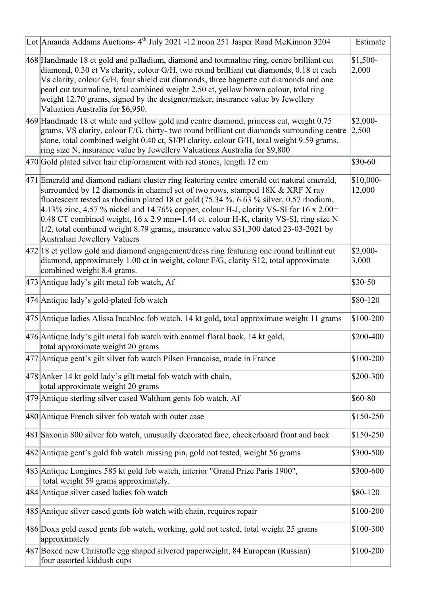| Lot Amanda Addams Auctions-4 <sup>th</sup> July 2021 -12 noon 251 Jasper Road McKinnon 3204                                                                                                                                                                                                                                                                                                                                                                                                                                                                                    | Estimate            |
|--------------------------------------------------------------------------------------------------------------------------------------------------------------------------------------------------------------------------------------------------------------------------------------------------------------------------------------------------------------------------------------------------------------------------------------------------------------------------------------------------------------------------------------------------------------------------------|---------------------|
| 468 Handmade 18 ct gold and palladium, diamond and tourmaline ring, centre brilliant cut<br>diamond, 0.30 ct Vs clarity, colour G/H, two round brilliant cut diamonds, 0.18 ct each<br>Vs clarity, colour G/H, four shield cut diamonds, three baguette cut diamonds and one<br>pearl cut tourmaline, total combined weight 2.50 ct, yellow brown colour, total ring<br>weight 12.70 grams, signed by the designer/maker, insurance value by Jewellery<br>Valuation Australia for \$6,950.                                                                                     | $$1,500-$<br>2,000  |
| 469 Handmade 18 ct white and yellow gold and centre diamond, princess cut, weight 0.75<br>grams, VS clarity, colour F/G, thirty- two round brilliant cut diamonds surrounding centre<br>stone, total combined weight 0.40 ct, SI/PI clarity, colour G/H, total weight 9.59 grams,<br>ring size N, insurance value by Jewellery Valuations Australia for \$9,800                                                                                                                                                                                                                | $$2,000-$<br> 2,500 |
| 470 Gold plated silver hair clip/ornament with red stones, length 12 cm                                                                                                                                                                                                                                                                                                                                                                                                                                                                                                        | \$30-60             |
| 471 Emerald and diamond radiant cluster ring featuring centre emerald cut natural emerald,<br>surrounded by 12 diamonds in channel set of two rows, stamped 18K & XRF X ray<br>fluorescent tested as rhodium plated 18 ct gold (75.34 %, 6.63 % silver, 0.57 rhodium,<br>4.13% zinc, 4.57 % nickel and 14.76% copper, colour H-J, clarity VS-SI for 16 x 2.00=<br>0.48 CT combined weight, 16 x 2.9 mm=1.44 ct. colour H-K, clarity VS-SI, ring size N<br>1/2, total combined weight 8.79 grams,, insurance value \$31,300 dated 23-03-2021 by<br>Australian Jewellery Valuers | \$10,000-<br>12,000 |
| $ 472 18$ ct yellow gold and diamond engagement/dress ring featuring one round brilliant cut<br>diamond, approximately 1.00 ct in weight, colour F/G, clarity S12, total approximate<br>combined weight 8.4 grams.                                                                                                                                                                                                                                                                                                                                                             | $$2,000-$<br>3,000  |
| $ 473 $ Antique lady's gilt metal fob watch, Af                                                                                                                                                                                                                                                                                                                                                                                                                                                                                                                                | \$30-50             |
| $ 474 $ Antique lady's gold-plated fob watch                                                                                                                                                                                                                                                                                                                                                                                                                                                                                                                                   | \$80-120            |
| 475 Antique ladies Alissa Incabloc fob watch, 14 kt gold, total approximate weight 11 grams                                                                                                                                                                                                                                                                                                                                                                                                                                                                                    | \$100-200           |
| 476 Antique lady's gilt metal fob watch with enamel floral back, 14 kt gold,<br>total approximate weight 20 grams                                                                                                                                                                                                                                                                                                                                                                                                                                                              | \$200-400           |
| 477 Antique gent's gilt silver fob watch Pilsen Francoise, made in France                                                                                                                                                                                                                                                                                                                                                                                                                                                                                                      | \$100-200           |
| 478 Anker 14 kt gold lady's gilt metal fob watch with chain,<br>total approximate weight 20 grams                                                                                                                                                                                                                                                                                                                                                                                                                                                                              | \$200-300           |
| 479 Antique sterling silver cased Waltham gents fob watch, Af                                                                                                                                                                                                                                                                                                                                                                                                                                                                                                                  | \$60-80             |
| 480 Antique French silver fob watch with outer case                                                                                                                                                                                                                                                                                                                                                                                                                                                                                                                            | \$150-250           |
| 481 Saxonia 800 silver fob watch, unusually decorated face, checkerboard front and back                                                                                                                                                                                                                                                                                                                                                                                                                                                                                        | \$150-250           |
| 482 Antique gent's gold fob watch missing pin, gold not tested, weight 56 grams                                                                                                                                                                                                                                                                                                                                                                                                                                                                                                | \$300-500           |
| 483 Antique Longines 585 kt gold fob watch, interior "Grand Prize Paris 1900",<br>total weight 59 grams approximately.                                                                                                                                                                                                                                                                                                                                                                                                                                                         | \$300-600           |
| 484 Antique silver cased ladies fob watch                                                                                                                                                                                                                                                                                                                                                                                                                                                                                                                                      | \$80-120            |
| 485 Antique silver cased gents fob watch with chain, requires repair                                                                                                                                                                                                                                                                                                                                                                                                                                                                                                           | \$100-200           |
| 486 Doxa gold cased gents fob watch, working, gold not tested, total weight 25 grams<br>approximately                                                                                                                                                                                                                                                                                                                                                                                                                                                                          | \$100-300           |
| 487 Boxed new Christofle egg shaped silvered paperweight, 84 European (Russian)<br>four assorted kiddush cups                                                                                                                                                                                                                                                                                                                                                                                                                                                                  | \$100-200           |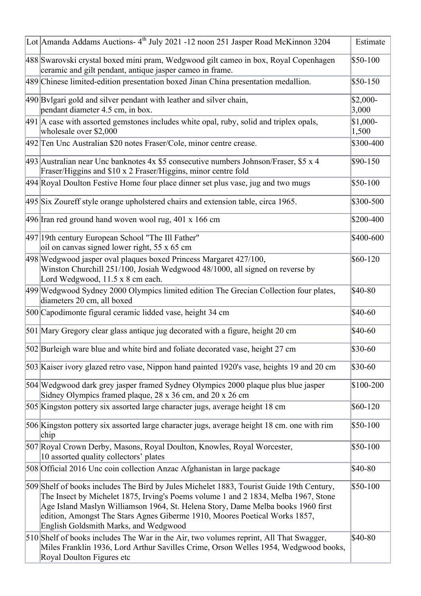| Lot Amanda Addams Auctions- 4 <sup>th</sup> July 2021 -12 noon 251 Jasper Road McKinnon 3204                                                                                                                                                                                                                                                                                              | Estimate           |
|-------------------------------------------------------------------------------------------------------------------------------------------------------------------------------------------------------------------------------------------------------------------------------------------------------------------------------------------------------------------------------------------|--------------------|
| 488 Swarovski crystal boxed mini pram, Wedgwood gilt cameo in box, Royal Copenhagen<br>ceramic and gilt pendant, antique jasper cameo in frame.                                                                                                                                                                                                                                           | $$50-100$          |
| 489 Chinese limited-edition presentation boxed Jinan China presentation medallion.                                                                                                                                                                                                                                                                                                        | \$50-150           |
| 490 Bvlgari gold and silver pendant with leather and silver chain,<br>pendant diameter 4.5 cm, in box.                                                                                                                                                                                                                                                                                    | $$2,000-$<br>3,000 |
| $ 491 $ A case with assorted gemstones includes white opal, ruby, solid and triplex opals,<br>wholesale over \$2,000                                                                                                                                                                                                                                                                      | $$1,000-$<br>1,500 |
| 492 Ten Unc Australian \$20 notes Fraser/Cole, minor centre crease.                                                                                                                                                                                                                                                                                                                       | \$300-400          |
| $493$ Australian near Unc banknotes 4x \$5 consecutive numbers Johnson/Fraser, \$5 x 4<br>Fraser/Higgins and \$10 x 2 Fraser/Higgins, minor centre fold                                                                                                                                                                                                                                   | \$90-150           |
| 494 Royal Doulton Festive Home four place dinner set plus vase, jug and two mugs                                                                                                                                                                                                                                                                                                          | \$50-100           |
| 495 Six Zoureff style orange upholstered chairs and extension table, circa 1965.                                                                                                                                                                                                                                                                                                          | \$300-500          |
| 496 Iran red ground hand woven wool rug, 401 x 166 cm                                                                                                                                                                                                                                                                                                                                     | \$200-400          |
| 497 19th century European School "The Ill Father"<br>oil on canvas signed lower right, 55 x 65 cm                                                                                                                                                                                                                                                                                         | \$400-600          |
| 498 Wedgwood jasper oval plaques boxed Princess Margaret 427/100,<br>Winston Churchill 251/100, Josiah Wedgwood 48/1000, all signed on reverse by<br>Lord Wedgwood, 11.5 x 8 cm each.                                                                                                                                                                                                     | \$60-120           |
| 499 Wedgwood Sydney 2000 Olympics limited edition The Grecian Collection four plates,<br>diameters 20 cm, all boxed                                                                                                                                                                                                                                                                       | \$40-80            |
| 500 Capodimonte figural ceramic lidded vase, height 34 cm                                                                                                                                                                                                                                                                                                                                 | \$40-60            |
| 501 Mary Gregory clear glass antique jug decorated with a figure, height 20 cm                                                                                                                                                                                                                                                                                                            | \$40-60            |
| 502 Burleigh ware blue and white bird and foliate decorated vase, height 27 cm                                                                                                                                                                                                                                                                                                            | \$30-60            |
| 503 Kaiser ivory glazed retro vase, Nippon hand painted 1920's vase, heights 19 and 20 cm                                                                                                                                                                                                                                                                                                 | \$30-60            |
| 504 Wedgwood dark grey jasper framed Sydney Olympics 2000 plaque plus blue jasper<br>Sidney Olympics framed plaque, 28 x 36 cm, and 20 x 26 cm                                                                                                                                                                                                                                            | \$100-200          |
| 505 Kingston pottery six assorted large character jugs, average height 18 cm                                                                                                                                                                                                                                                                                                              | $$60-120$          |
| 506 Kingston pottery six assorted large character jugs, average height 18 cm. one with rim<br>chip                                                                                                                                                                                                                                                                                        | \$50-100           |
| 507 Royal Crown Derby, Masons, Royal Doulton, Knowles, Royal Worcester,<br>10 assorted quality collectors' plates                                                                                                                                                                                                                                                                         | $$50-100$          |
| 508 Official 2016 Une coin collection Anzac Afghanistan in large package                                                                                                                                                                                                                                                                                                                  | \$40-80            |
| 509 Shelf of books includes The Bird by Jules Michelet 1883, Tourist Guide 19th Century,<br>The Insect by Michelet 1875, Irving's Poems volume 1 and 2 1834, Melba 1967, Stone<br>Age Island Maslyn Williamson 1964, St. Helena Story, Dame Melba books 1960 first<br>edition, Amongst The Stars Agnes Giberme 1910, Moores Poetical Works 1857,<br>English Goldsmith Marks, and Wedgwood | $$50-100$          |
| 510 Shelf of books includes The War in the Air, two volumes reprint, All That Swagger,<br>Miles Franklin 1936, Lord Arthur Savilles Crime, Orson Welles 1954, Wedgwood books,<br>Royal Doulton Figures etc                                                                                                                                                                                | \$40-80            |